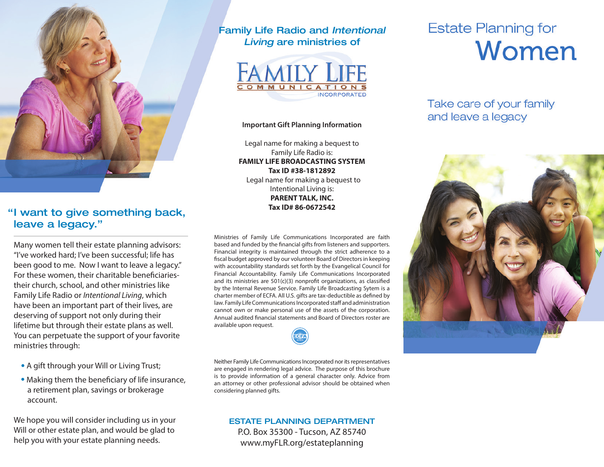

### "I want to give something back, leave a legacy."

Many women tell their estate planning advisors: "I've worked hard; I've been successful; life has been good to me. Now I want to leave a legacy." For these women, their charitable beneficiariestheir church, school, and other ministries like Family Life Radio or *Intentional Living*, which have been an important part of their lives, are deserving of support not only during their lifetime but through their estate plans as well. You can perpetuate the support of your favorite ministries through:

- A gift through your Will or Living Trust;
- Making them the beneficiary of life insurance, a retirement plan, savings or brokerage account.

We hope you will consider including us in your Will or other estate plan, and would be glad to help you with your estate planning needs.

### Family Life Radio and *Intentional Living* are ministries of



#### **Important Gift Planning Information**

Legal name for making a bequest to Family Life Radio is: **FAMILY LIFE BROADCASTING SYSTEM Tax ID #38-1812892** Legal name for making a bequest to Intentional Living is: **PARENT TALK, INC. Tax ID# 86-0672542**

Ministries of Family Life Communications Incorporated are faith based and funded by the financial gifts from listeners and supporters. Financial integrity is maintained through the strict adherence to a fiscal budget approved by our volunteer Board of Directors in keeping with accountability standards set forth by the Evangelical Council for Financial Accountability. Family Life Communications Incorporated and its ministries are 501(c)(3) nonprofit organizations, as classified by the Internal Revenue Service. Family Life Broadcasting Sytem is a charter member of ECFA. All U.S. gifts are tax-deductible as defined by law. Family Life Communications Incorporated staff and administration cannot own or make personal use of the assets of the corporation. Annual audited financial statements and Board of Directors roster are available upon request.

Neither Family Life Communications Incorporated nor its representatives are engaged in rendering legal advice. The purpose of this brochure is to provide information of a general character only. Advice from an attorney or other professional advisor should be obtained when considering planned gifts.

#### ESTATE PLANNING DEPARTMENT P.O. Box 35300 - Tucson, AZ 85740 www.myFLR.org/estateplanning

# **Estate Planning for** Women

Take care of your family and leave a legacy